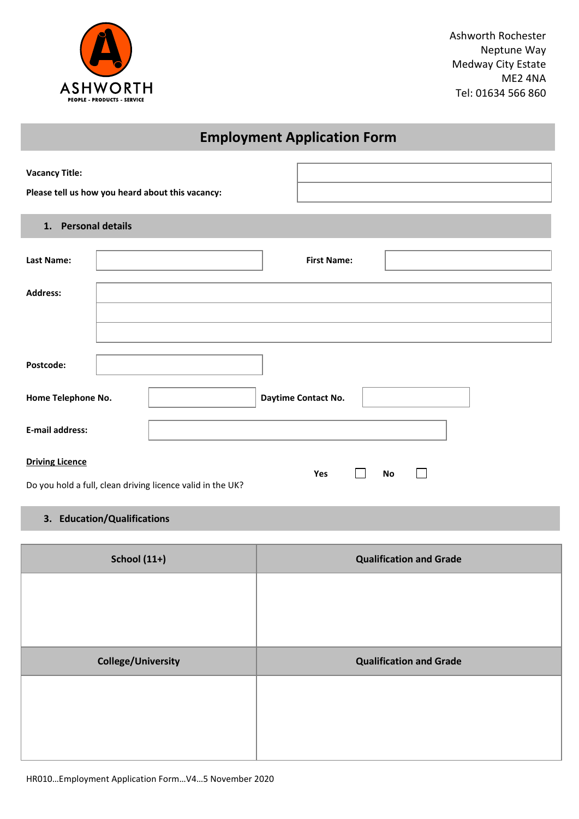

Ashworth Rochester Neptune Way Medway City Estate ME2 4NA Tel: 01634 566 860

# **Employment Application Form**

**Please tell us how you heard about this vacancy:**

| 1. Personal details |  |
|---------------------|--|
|                     |  |

**Vacancy Title:**

| Last Name:                                                 | <b>First Name:</b>  |
|------------------------------------------------------------|---------------------|
| <b>Address:</b>                                            |                     |
|                                                            |                     |
| Postcode:                                                  |                     |
| Home Telephone No.                                         | Daytime Contact No. |
| <b>E-mail address:</b>                                     |                     |
| <b>Driving Licence</b>                                     | Yes<br>No           |
| Do you hold a full, clean driving licence valid in the UK? |                     |

### **3. Education/Qualifications**

| <b>School (11+)</b>       | <b>Qualification and Grade</b> |
|---------------------------|--------------------------------|
|                           |                                |
|                           |                                |
|                           |                                |
|                           |                                |
| <b>College/University</b> | <b>Qualification and Grade</b> |
|                           |                                |
|                           |                                |
|                           |                                |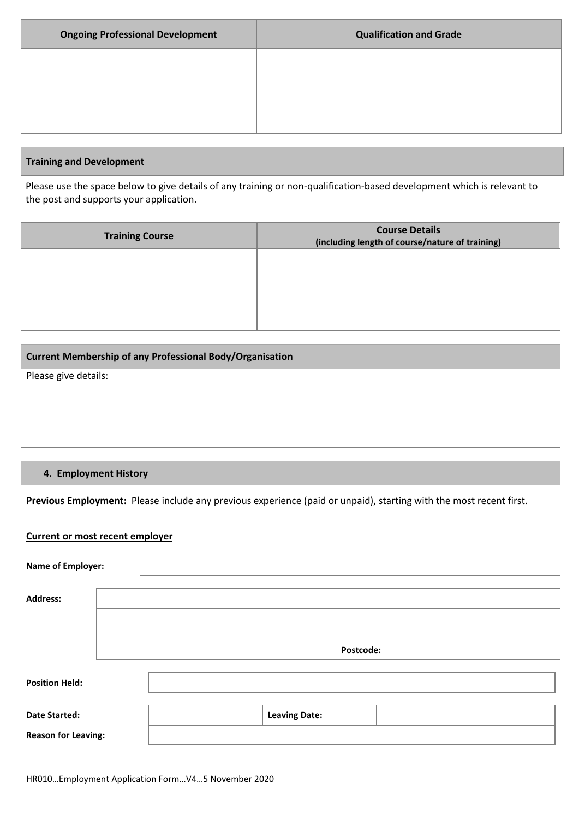| <b>Ongoing Professional Development</b> | <b>Qualification and Grade</b> |
|-----------------------------------------|--------------------------------|
|                                         |                                |
|                                         |                                |
|                                         |                                |

#### **Training and Development**

Please use the space below to give details of any training or non-qualification-based development which is relevant to the post and supports your application.

| <b>Training Course</b> | <b>Course Details</b><br>(including length of course/nature of training) |
|------------------------|--------------------------------------------------------------------------|
|                        |                                                                          |
|                        |                                                                          |
|                        |                                                                          |

| <b>Current Membership of any Professional Body/Organisation</b> |  |
|-----------------------------------------------------------------|--|
| Please give details:                                            |  |
|                                                                 |  |
|                                                                 |  |
|                                                                 |  |

## **4. Employment History**

**Previous Employment:** Please include any previous experience (paid or unpaid), starting with the most recent first.

#### **Current or most recent employer**

| <b>Name of Employer:</b>   |  |                      |  |
|----------------------------|--|----------------------|--|
|                            |  |                      |  |
| <b>Address:</b>            |  |                      |  |
|                            |  |                      |  |
|                            |  |                      |  |
|                            |  | Postcode:            |  |
|                            |  |                      |  |
| <b>Position Held:</b>      |  |                      |  |
|                            |  |                      |  |
| <b>Date Started:</b>       |  | <b>Leaving Date:</b> |  |
| <b>Reason for Leaving:</b> |  |                      |  |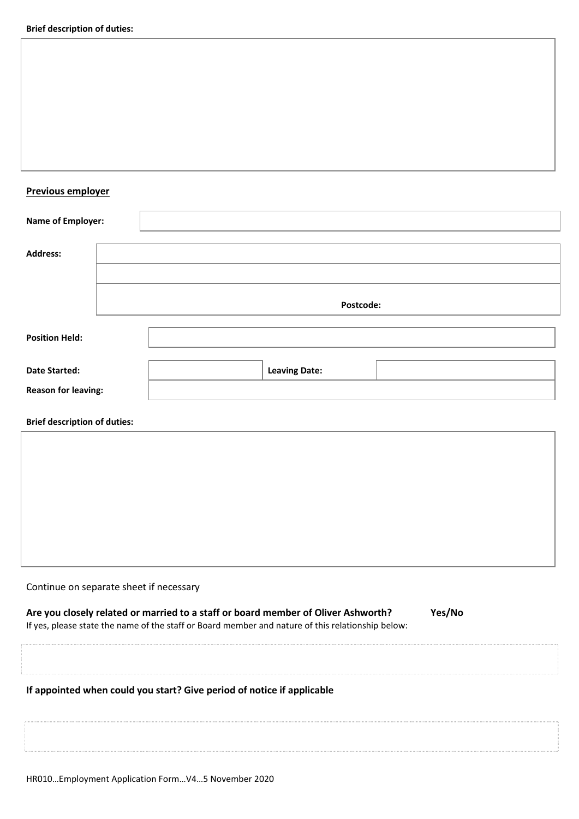### **Previous employer**

| <b>Name of Employer:</b>            |                      |
|-------------------------------------|----------------------|
| <b>Address:</b>                     |                      |
|                                     |                      |
|                                     | Postcode:            |
| <b>Position Held:</b>               |                      |
| <b>Date Started:</b>                | <b>Leaving Date:</b> |
| <b>Reason for leaving:</b>          |                      |
| <b>Brief description of duties:</b> |                      |
|                                     |                      |
|                                     |                      |

#### Continue on separate sheet if necessary

#### **Are you closely related or married to a staff or board member of Oliver Ashworth? Yes/No**  If yes, please state the name of the staff or Board member and nature of this relationship below:

#### **If appointed when could you start? Give period of notice if applicable**